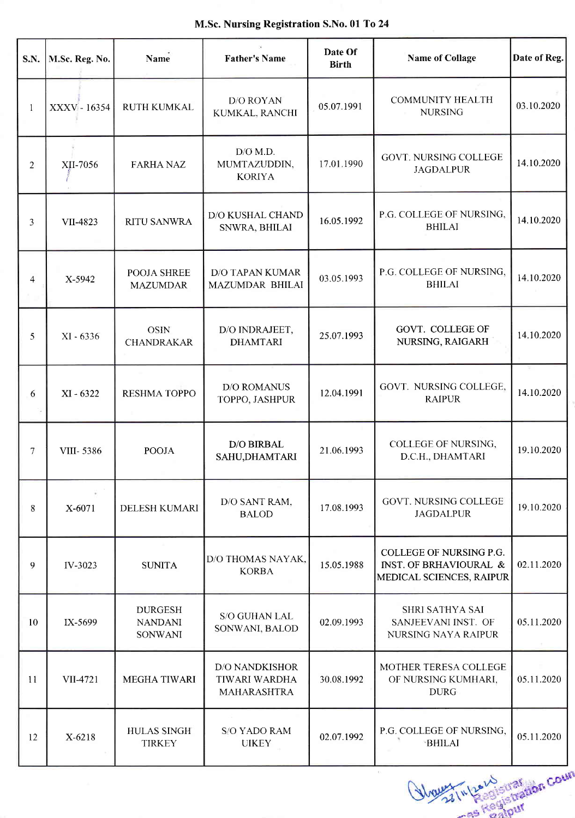|  |  | M.Sc. Nursing Registration S.No. 01 To 24 |  |  |  |
|--|--|-------------------------------------------|--|--|--|
|--|--|-------------------------------------------|--|--|--|

| S.N. | M.Sc. Reg. No. | <b>Name</b>                                        | <b>Father's Name</b>                                         | Date Of<br><b>Birth</b> | <b>Name of Collage</b>                                                        | Date of Reg.    |
|------|----------------|----------------------------------------------------|--------------------------------------------------------------|-------------------------|-------------------------------------------------------------------------------|-----------------|
| 1    | XXXV - 16354   | RUTH KUMKAL                                        | <b>D/O ROYAN</b><br>KUMKAL, RANCHI                           | 05.07.1991              | <b>COMMUNITY HEALTH</b><br><b>NURSING</b>                                     | 03.10.2020      |
| 2    | XII-7056       | <b>FARHA NAZ</b>                                   | $D/O$ M.D.<br>MUMTAZUDDIN,<br><b>KORIYA</b>                  | 17.01.1990              | <b>GOVT. NURSING COLLEGE</b><br><b>JAGDALPUR</b>                              | 14.10.2020      |
| 3    | VII-4823       | <b>RITU SANWRA</b>                                 | D/O KUSHAL CHAND<br>SNWRA, BHILAI                            | 16.05.1992              | P.G. COLLEGE OF NURSING,<br><b>BHILAI</b>                                     | 14.10.2020      |
| 4    | X-5942         | POOJA SHREE<br><b>MAZUMDAR</b>                     | <b>D/O TAPAN KUMAR</b><br>MAZUMDAR BHILAI                    | 03.05.1993              | P.G. COLLEGE OF NURSING,<br><b>BHILAI</b>                                     | 14.10.2020      |
| 5    | XI - 6336      | <b>OSIN</b><br><b>CHANDRAKAR</b>                   | D/O INDRAJEET,<br><b>DHAMTARI</b>                            | 25.07.1993              | GOVT. COLLEGE OF<br>NURSING, RAIGARH                                          | 14.10.2020      |
| 6    | $XI - 6322$    | <b>RESHMA TOPPO</b>                                | <b>D/O ROMANUS</b><br>TOPPO, JASHPUR                         | 12.04.1991              | GOVT. NURSING COLLEGE,<br><b>RAIPUR</b>                                       | ×<br>14.10.2020 |
| 7    | VIII-5386      | <b>POOJA</b>                                       | <b>D/O BIRBAL</b><br>SAHU, DHAMTARI                          | 21.06.1993              | <b>COLLEGE OF NURSING,</b><br>D.C.H., DHAMTARI                                | 19.10.2020      |
| 8    | X-6071         | <b>DELESH KUMARI</b>                               | D/O SANT RAM,<br><b>BALOD</b>                                | 17.08.1993              | <b>GOVT. NURSING COLLEGE</b><br><b>JAGDALPUR</b>                              | 19.10.2020      |
| 9    | IV-3023        | <b>SUNITA</b>                                      | D/O THOMAS NAYAK.<br><b>KORBA</b>                            | 15.05.1988              | COLLEGE OF NURSING P.G.<br>INST. OF BRHAVIOURAL &<br>MEDICAL SCIENCES, RAIPUR | 02.11.2020      |
| 10   | IX-5699        | <b>DURGESH</b><br><b>NANDANI</b><br><b>SONWANI</b> | S/O GUHAN LAL<br>SONWANI, BALOD                              | 02.09.1993              | <b>SHRI SATHYA SAI</b><br>SANJEEVANI INST. OF<br><b>NURSING NAYA RAIPUR</b>   | 05.11.2020      |
| 11   | VII-4721       | <b>MEGHA TIWARI</b>                                | <b>D/O NANDKISHOR</b><br>TIWARI WARDHA<br><b>MAHARASHTRA</b> | 30.08.1992              | MOTHER TERESA COLLEGE<br>OF NURSING KUMHARI,<br><b>DURG</b>                   | 05.11.2020      |
| 12   | X-6218         | <b>HULAS SINGH</b><br><b>TIRKEY</b>                | <b>S/O YADO RAM</b><br><b>UIKEY</b>                          | 02.07.1992              | P.G. COLLEGE OF NURSING,<br><b>BHILAI</b>                                     | 05.11.2020      |

Would In Law iseration Count